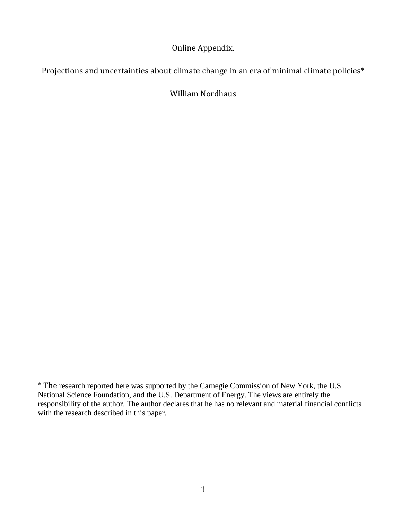Online Appendix.

Projections and uncertainties about climate change in an era of minimal climate policies\*

William Nordhaus

\* The research reported here was supported by the Carnegie Commission of New York, the U.S. National Science Foundation, and the U.S. Department of Energy. The views are entirely the responsibility of the author. The author declares that he has no relevant and material financial conflicts with the research described in this paper.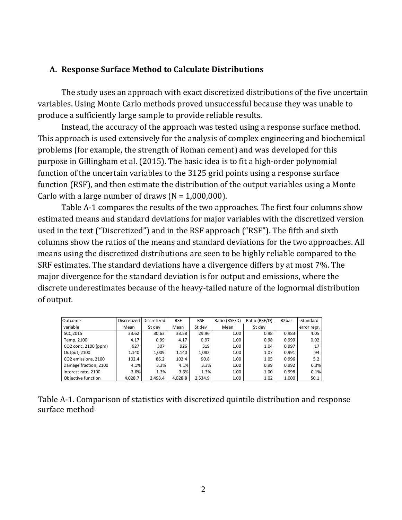## **A. Response Surface Method to Calculate Distributions**

The study uses an approach with exact discretized distributions of the five uncertain variables. Using Monte Carlo methods proved unsuccessful because they was unable to produce a sufficiently large sample to provide reliable results.

Instead, the accuracy of the approach was tested using a response surface method. This approach is used extensively for the analysis of complex engineering and biochemical problems (for example, the strength of Roman cement) and was developed for this purpose in Gillingham et al. (2015). The basic idea is to fit a high-order polynomial function of the uncertain variables to the 3125 grid points using a response surface function (RSF), and then estimate the distribution of the output variables using a Monte Carlo with a large number of draws  $(N = 1,000,000)$ .

Table A-1 compares the results of the two approaches. The first four columns show estimated means and standard deviations for major variables with the discretized version used in the text ("Discretized") and in the RSF approach ("RSF"). The fifth and sixth columns show the ratios of the means and standard deviations for the two approaches. All means using the discretized distributions are seen to be highly reliable compared to the SRF estimates. The standard deviations have a divergence differs by at most 7%. The major divergence for the standard deviation is for output and emissions, where the discrete underestimates because of the heavy-tailed nature of the lognormal distribution of output.

| Outcome               | Discretized | Discretized | <b>RSF</b> | <b>RSF</b> | Ratio (RSF/D) | Ratio (RSF/D) | R <sub>2</sub> bar | Standard    |
|-----------------------|-------------|-------------|------------|------------|---------------|---------------|--------------------|-------------|
| variable              | Mean        | St dev      | Mean       | St dev     | Mean          | St dev        |                    | error regr. |
| SCC, 2015             | 33.62       | 30.63       | 33.58      | 29.96      | 1.00          | 0.98          | 0.983              | 4.05        |
| Temp, 2100            | 4.17        | 0.99        | 4.17       | 0.97       | 1.00          | 0.98          | 0.999              | 0.02        |
| CO2 conc, 2100 (ppm)  | 927         | 307         | 926        | 319        | 1.00          | 1.04          | 0.997              | 17          |
| Output, 2100          | 1,140       | 1,009       | 1.140      | 1,082      | 1.00          | 1.07          | 0.991              | 94          |
| CO2 emissions, 2100   | 102.4       | 86.2        | 102.4      | 90.8       | 1.00          | 1.05          | 0.996              | 5.2         |
| Damage fraction, 2100 | 4.1%        | 3.3%        | 4.1%       | 3.3%       | 1.00          | 0.99          | 0.992              | 0.3%        |
| Interest rate, 2100   | 3.6%        | 1.3%        | 3.6%       | 1.3%       | 1.00          | 1.00          | 0.998              | 0.1%        |
| Objective function    | 4.028.7     | 2.493.4     | 4.028.8    | 2,534.9    | 1.00          | 1.02          | 1.000              | 50.1        |

|                             | Table A-1. Comparison of statistics with discretized quintile distribution and response |  |  |
|-----------------------------|-----------------------------------------------------------------------------------------|--|--|
| surface method <sup>i</sup> |                                                                                         |  |  |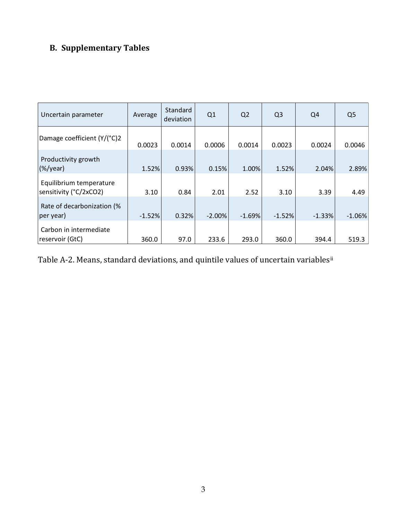## **B. Supplementary Tables**

| Uncertain parameter                               | Average  | Standard<br>deviation | Q1       | Q <sub>2</sub> | Q <sub>3</sub> | Q4       | Q <sub>5</sub> |
|---------------------------------------------------|----------|-----------------------|----------|----------------|----------------|----------|----------------|
| Damage coefficient (Y/(°C)2                       | 0.0023   | 0.0014                | 0.0006   | 0.0014         | 0.0023         | 0.0024   | 0.0046         |
| Productivity growth<br>$(\%/year)$                | 1.52%    | 0.93%                 | 0.15%    | 1.00%          | 1.52%          | 2.04%    | 2.89%          |
| Equilibrium temperature<br>sensitivity (°C/2xCO2) | 3.10     | 0.84                  | 2.01     | 2.52           | 3.10           | 3.39     | 4.49           |
| Rate of decarbonization (%<br>per year)           | $-1.52%$ | 0.32%                 | $-2.00%$ | $-1.69%$       | $-1.52%$       | $-1.33%$ | $-1.06%$       |
| Carbon in intermediate<br>reservoir (GtC)         | 360.0    | 97.0                  | 233.6    | 293.0          | 360.0          | 394.4    | 519.3          |

Table A-2. Means, standard deviations, and quintile values of uncertain variablesii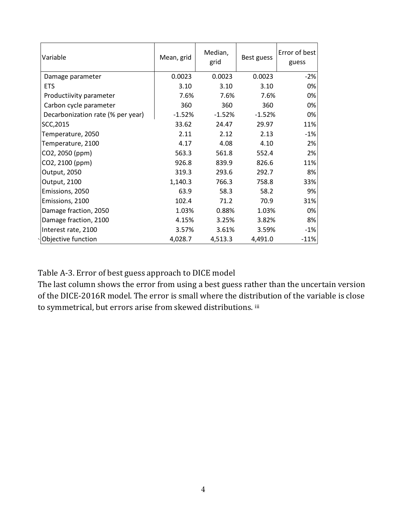| Variable                          | Mean, grid | Median,<br>grid | Best guess | Error of best<br>guess |
|-----------------------------------|------------|-----------------|------------|------------------------|
| Damage parameter                  | 0.0023     | 0.0023          | 0.0023     | $-2%$                  |
| <b>ETS</b>                        | 3.10       | 3.10            | 3.10       | 0%                     |
| Productiivity parameter           | 7.6%       | 7.6%            | 7.6%       | 0%                     |
| Carbon cycle parameter            | 360        | 360             | 360        | 0%                     |
| Decarbonization rate (% per year) | $-1.52%$   | $-1.52%$        | $-1.52%$   | 0%                     |
| SCC, 2015                         | 33.62      | 24.47           | 29.97      | 11%                    |
| Temperature, 2050                 | 2.11       | 2.12            | 2.13       | $-1%$                  |
| Temperature, 2100                 | 4.17       | 4.08            | 4.10       | 2%                     |
| CO2, 2050 (ppm)                   | 563.3      | 561.8           | 552.4      | 2%                     |
| CO2, 2100 (ppm)                   | 926.8      | 839.9           | 826.6      | 11%                    |
| Output, 2050                      | 319.3      | 293.6           | 292.7      | 8%                     |
| Output, 2100                      | 1,140.3    | 766.3           | 758.8      | 33%                    |
| Emissions, 2050                   | 63.9       | 58.3            | 58.2       | 9%                     |
| Emissions, 2100                   | 102.4      | 71.2            | 70.9       | 31%                    |
| Damage fraction, 2050             | 1.03%      | 0.88%           | 1.03%      | 0%                     |
| Damage fraction, 2100             | 4.15%      | 3.25%           | 3.82%      | 8%                     |
| Interest rate, 2100               | 3.57%      | 3.61%           | 3.59%      | $-1%$                  |
| Objective function                | 4,028.7    | 4,513.3         | 4,491.0    | $-11%$                 |

Table A-3. Error of best guess approach to DICE model

The last column shows the error from using a best guess rather than the uncertain version of the DICE-2016R model. The error is small where the distribution of the variable is close to symmetrical, but errors arise from skewed distributions. iii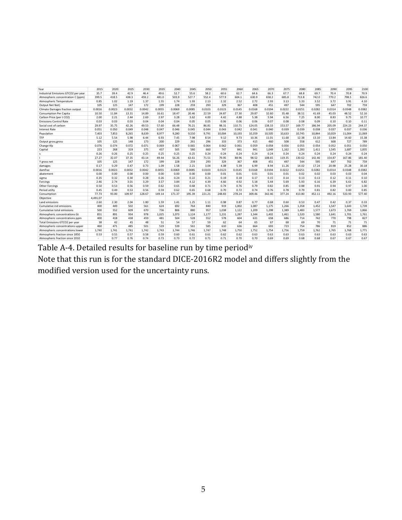| Year                                | 2015     | 2020   | 2025   | 2030   | 2035   | 2040   | 2045   | 2050   | 2055   | 2060   | 2065   | 2070   | 2075   | 2080   | 2085   | 2090   | 2095   | 2100   |
|-------------------------------------|----------|--------|--------|--------|--------|--------|--------|--------|--------|--------|--------|--------|--------|--------|--------|--------|--------|--------|
| Industrial Emissions GTCO2 per year | 35.7     | 39.4   | 42.9   | 46.4   | 49.6   | 52.7   | 55.6   | 58.2   | 60.6   | 62.7   | 64.6   | 66.3   | 67.7   | 68.8   | 69.7   | 70.4   | 70.8   | 70.9   |
| Atmospheric concentration C (ppm)   | 399.5    | 418.5  | 438.3  | 459.2  | 481.0  | 503.9  | 527.7  | 552.4  | 577.9  | 604.1  | 630.9  | 658.2  | 685.8  | 713.8  | 742.0  | 770.2  | 798.5  | 826.6  |
| Atmospheric Temperature             | 0.85     | 1.02   | 1.19   | 1.37   | 1.55   | 1.74   | 1.93   | 2.13   | 2.32   | 2.52   | 2.72   | 2.93   | 3.13   | 3.33   | 3.52   | 3.72   | 3.91   | 4.10   |
| Output Net Net)                     | 105      | 125    | 147    | 172    | 199    | 228    | 259    | 293    | 329    | 367    | 408    | 451    | 497    | 544    | 595    | 647    | 702    | 759    |
| Climate Damages fraction output     | 0.0016   | 0.0023 | 0.0032 | 0.0042 | 0.0055 | 0.0069 | 0.0085 | 0.0103 | 0.0123 | 0.0145 | 0.0168 | 0.0194 | 0.0222 | 0.0251 | 0.0282 | 0.0314 | 0.0348 | 0.0382 |
| <b>Consumption Per Capita</b>       | 10.50    | 11.84  | 13.31  | 14.89  | 16.61  | 18.47  | 20.46  | 22.59  | 24.87  | 27.30  | 29.87  | 32.60  | 35.48  | 38.51  | 41.69  | 45.03  | 48.52  | 52.16  |
| Carbon Price (per t CO2)            | 2.00     | 2.21   | 2.44   | 2.69   | 2.97   | 3.28   | 3.62   | 4.00   | 4.42   | 4.88   | 5.38   | 5.94   | 6.56   | 7.25   | 8.00   | 8.83   | 9.75   | 10.77  |
| <b>Emissions Control Rate</b>       | 0.03     | 0.03   | 0.03   | 0.04   | 0.04   | 0.04   | 0.05   | 0.05   | 0.06   | 0.06   | 0.06   | 0.07   | 0.08   | 0.08   | 0.09   | 0.10   | 0.10   | 0.11   |
| Social cost of carbon               | 29.97    | 35.75  | 42.26  | 49.53  | 57.60  | 66.48  | 76.21  | 86.81  | 98.31  | 110.71 | 124.05 | 138.33 | 153.57 | 169.77 | 186.94 | 205.09 | 224.23 | 244.37 |
| <b>Interest Rate</b>                | 0.051    | 0.050  | 0.049  | 0.048  | 0.047  | 0.046  | 0.045  | 0.044  | 0.043  | 0.042  | 0.041  | 0.040  | 0.039  | 0.039  | 0.038  | 0.037  | 0.037  | 0.036  |
| Population                          | 7,403    | 7,853  | 8,265  | 8,639  | 8,977  | 9,280  | 9,550  | 9,791  | 10,004 | 10,193 | 10,359 | 10,505 | 10,633 | 10,745 | 10,844 | 10,929 | 11,004 | 11,069 |
| TFP                                 | 5.12     | 5.54   | 5.98   | 6.44   | 6.93   | 7.45   | 7.98   | 8.54   | 9.12   | 9.73   | 10.36  | 11.01  | 11.68  | 12.38  | 13.10  | 13.84  | 14.60  | 15.38  |
| Output gross, gross                 | 105      | 125    | 148    | 173    | 200    | 229    | 261    | 296    | 333    | 373    | 415    | 460    | 508    | 558    | 612    | 668    | 727    | 789    |
| Change tfp                          | 0.076    | 0.074  | 0.072  | 0.071  | 0.069  | 0.067  | 0.065  | 0.064  | 0.062  | 0.061  | 0.059  | 0.058  | 0.056  | 0.055  | 0.054  | 0.052  | 0.051  | 0.050  |
| Capital                             | 223      | 268    | 319    | 375    | 437    | 505    | 580    | 660    | 747    | 841    | 941    | 1.049  | 1,162  | 1.283  | 1.411  | 1,545  | 1,687  | 1,835  |
| s                                   | 0.26     | 0.26   | 0.25   | 0.25   | 0.25   | 0.25   | 0.25   | 0.24   | 0.24   | 0.24   | 0.24   | 0.24   | 0.24   | 0.24   | 0.24   | 0.24   | 0.24   | 0.24   |
|                                     | 27.27    | 32.07  | 37.35  | 43.14  | 49.44  | 56.26  | 63.61  | 71.51  | 79.95  | 88.96  | 98.52  | 108.65 | 119.35 | 130.62 | 142.46 | 154.87 | 167.86 | 181.40 |
| Y gross net                         | 105      | 125    | 147    | 172    | 199    | 228    | 259    | 293    | 329    | 367    | 408    | 451    | 497    | 544    | 595    | 647    | 702    | 759    |
| damages                             | 0.17     | 0.29   | 0.47   | 0.73   | 1.09   | 1.58   | 2.21   | 3.04   | 4.08   | 5.39   | 6.99   | 8.94   | 11.26  | 14.02  | 17.24  | 20.98  | 25.28  | 30.18  |
| damfrac                             | 0.0016   | 0.0023 | 0.0032 | 0.0042 | 0.0055 | 0.0069 | 0.0085 | 0.0103 | 0.0123 | 0.0145 | 0.0168 | 0.0194 | 0.0222 | 0.0251 | 0.0282 | 0.0314 | 0.0348 | 0.0382 |
| abatement                           | 0.00     | 0.00   | 0.00   | 0.00   | 0.00   | 0.00   | 0.00   | 0.00   | 0.01   | 0.01   | 0.01   | 0.01   | 0.01   | 0.02   | 0.02   | 0.03   | 0.03   | 0.04   |
| sigma                               | 0.35     | 0.32   | 0.30   | 0.28   | 0.26   | 0.24   | 0.22   | 0.21   | 0.19   | 0.18   | 0.17   | 0.15   | 0.14   | 0.13   | 0.13   | 0.12   | 0.11   | 0.10   |
| Forcings                            | 2.46     | 2.74   | 3.01   | 3.29   | 3.57   | 3.84   | 4.12   | 4.39   | 4.66   | 4.92   | 5.18   | 5.44   | 5.69   | 5.93   | 6.16   | 6.39   | 6.61   | 6.82   |
| Other Forcings                      | 0.50     | 0.53   | 0.56   | 0.59   | 0.62   | 0.65   | 0.68   | 0.71   | 0.74   | 0.76   | 0.79   | 0.82   | 0.85   | 0.88   | 0.91   | 0.94   | 0.97   | 1.00   |
| Period utilty                       | 0.45     | 0.49   | 0.53   | 0.56   | 0.59   | 0.62   | 0.65   | 0.68   | 0.70   | 0.72   | 0.74   | 0.76   | 0.78   | 0.79   | 0.81   | 0.82   | 0.83   | 0.85   |
| Consumption                         | 77.73    | 93.00  | 109.97 | 128.67 | 149.14 | 171.37 | 195.39 | 221.21 | 248.83 | 278.24 | 309.46 | 342.46 | 377.24 | 413.80 | 452.11 | 492.16 | 533.93 | 577.40 |
| Objective                           | 4.491.07 |        |        |        |        |        |        |        |        |        |        |        |        |        |        |        |        |        |
| Land emissions                      | 2.60     | 2.30   | 2.04   | 1.80   | 1.59   | 1.41   | 1.25   | 1.11   | 0.98   | 0.87   | 0.77   | 0.68   | 0.60   | 0.53   | 0.47   | 0.42   | 0.37   | 0.33   |
| Cumulative ind emissions            | 400      | 449    | 502    | 561    | 624    | 692    | 764    | 840    | 919    | 1.002  | 1,087  | 1,175  | 1,266  | 1,358  | 1.452  | 1,547  | 1,643  | 1,739  |
| Cumulative total emissions          | 500      | 552    | 609    | 670    | 736    | 806    | 880    | 957    | 1,038  | 1.122  | 1,209  | 1,298  | 1,389  | 1,483  | 1,577  | 1,673  | 1,769  | 1,866  |
| Atmospheric concentrations Gt       | 851      | 891    | 934    | 978    | 1,025  | 1,073  | 1,124  | 1,177  | 1,231  | 1,287  | 1,344  | 1,402  | 1,461  | 1,520  | 1,580  | 1,641  | 1,701  | 1,761  |
| Atmospheric concentrations ppm      | 400      | 418    | 438    | 459    | 481    | 504    | 528    | 552    | 578    | 604    | 631    | 658    | 686    | 714    | 742    | 770    | 798    | 827    |
| Total Emissions GTCO2 per year      | 38       | 42     | 45     | 48     | 51     | 54     | 57     | 59     | 62     | 64     | 65     | 67     | 68     | 69     | 70     | 71     | 71     | 71     |
| Atmospheric concentrations upper    | 460      | 471    | 485    | 501    | 519    | 539    | 561    | 585    | 610    | 636    | 664    | 693    | 723    | 754    | 786    | 819    | 852    | 886    |
| Atmospheric concentrations lower    | 1.740    | 1.741  | 1.741  | 1.742  | 1.743  | 1.744  | 1.746  | 1.747  | 1.748  | 1.750  | 1.752  | 1.754  | 1.756  | 1.759  | 1.762  | 1.765  | 1.768  | 1.771  |
| Atmospheric fraction since 1850     | 0.53     | 0.55   | 0.57   | 0.58   | 0.59   | 0.60   | 0.61   | 0.61   | 0.62   | 0.62   | 0.63   | 0.63   | 0.63   | 0.63   | 0.63   | 0.63   | 0.63   | 0.63   |
| Atmospheric fraction since 2010     |          | 0.77   | 0.76   | 0.74   | 0.73   | 0.73   | 0.72   | 0.71   | 0.71   | 0.70   | 0.70   | 0.69   | 0.69   | 0.68   | 0.68   | 0.67   | 0.67   | 0.67   |

Table A-4. Detailed results for baseline run by time periodiv

Note that this run is for the standard DICE-2016R2 model and differs slightly from the modified version used for the uncertainty runs.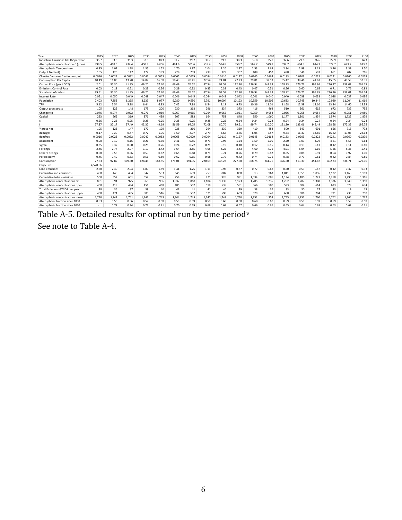| Year                                | 2015     | 2020   | 2025   | 2030   | 2035   | 2040   | 2045   | 2050   | 2055   | 2060   | 2065   | 2070   | 2075   | 2080   | 2085   | 2090   | 2095   | 2100   |
|-------------------------------------|----------|--------|--------|--------|--------|--------|--------|--------|--------|--------|--------|--------|--------|--------|--------|--------|--------|--------|
| Industrial Emissions GTCO2 per year | 35.7     | 33.3   | 35.3   | 37.0   | 38.3   | 39.2   | 39.7   | 39.7   | 39.2   | 38.3   | 36.8   | 35.0   | 32.6   | 29.8   | 26.6   | 22.9   | 18.8   | 14.3   |
| Atmospheric concentration C (ppm)   | 399.5    | 418.5  | 434.4  | 450.8  | 467.6  | 484.6  | 501.6  | 518.4  | 534.8  | 550.7  | 565.7  | 579.8  | 592.7  | 604.3  | 614.3  | 622.7  | 629.2  | 633.7  |
| Atmospheric Temperature             | 0.85     | 1.02   | 1.18   | 1.35   | 1.52   | 1.70   | 1.87   | 2.04   | 2.20   | 2.37   | 2.53   | 2.69   | 2.84   | 2.99   | 3.13   | 3.26   | 3.39   | 3.50   |
| Output Net Net)                     | 105      | 125    | 147    | 172    | 199    | 228    | 259    | 293    | 329    | 367    | 408    | 452    | 498    | 546    | 597    | 651    | 707    | 766    |
| Climate Damages fraction output     | 0.0016   | 0.0023 | 0.0032 | 0.0042 | 0.0053 | 0.0065 | 0.0079 | 0.0094 | 0.0110 | 0.0127 | 0.0145 | 0.0164 | 0.0183 | 0.0203 | 0.0222 | 0.0241 | 0.0260 | 0.0279 |
| <b>Consumption Per Capita</b>       | 10.49    | 11.83  | 13.28  | 14.87  | 16.58  | 18.43  | 20.41  | 22.54  | 24.81  | 27.23  | 29.81  | 32.53  | 35.42  | 38.46  | 41.67  | 45.05  | 48.59  | 52.31  |
| Carbon Price (per t CO2)            | 2.01     | 35.30  | 41.85  | 49.20  | 57.40  | 66.49  | 76.52  | 87.54  | 99.58  | 112.70 | 126.94 | 142.33 | 158.93 | 176.76 | 195.86 | 216.27 | 238.02 | 261.15 |
| <b>Emissions Control Rate</b>       | 0.03     | 0.18   | 0.21   | 0.23   | 0.26   | 0.29   | 0.32   | 0.35   | 0.39   | 0.43   | 0.47   | 0.51   | 0.56   | 0.60   | 0.65   | 0.71   | 0.76   | 0.82   |
| Social cost of carbon               | 29.51    | 35.30  | 41.85  | 49.20  | 57.40  | 66.49  | 76.52  | 87.54  | 99.58  | 112.70 | 126.94 | 142.33 | 158.92 | 176.75 | 195.85 | 216.26 | 238.01 | 261.14 |
| <b>Interest Rate</b>                | 0.051    | 0.050  | 0.049  | 0.048  | 0.047  | 0.046  | 0.045  | 0.044  | 0.043  | 0.042  | 0.041  | 0.040  | 0.040  | 0.039  | 0.038  | 0.038  | 0.037  | 0.036  |
| Population                          | 7,403    | 7.853  | 8,265  | 8,639  | 8,977  | 9,280  | 9,550  | 9,791  | 10,004 | 10,193 | 10,359 | 10,505 | 10,633 | 10,745 | 10,844 | 10,929 | 11,004 | 11,069 |
| TFP                                 | 5.12     | 5.54   | 5.98   | 6.44   | 6.93   | 7.45   | 7.98   | 8.54   | 9.12   | 9.73   | 10.36  | 11.01  | 11.68  | 12.38  | 13.10  | 13.84  | 14.60  | 15.38  |
| Output gross, gross                 | 105      | 125    | 148    | 173    | 200    | 230    | 262    | 296    | 334    | 373    | 416    | 462    | 510    | 561    | 615    | 672    | 732    | 795    |
| Change tfp                          | 0.076    | 0.074  | 0.072  | 0.071  | 0.069  | 0.067  | 0.065  | 0.064  | 0.062  | 0.061  | 0.059  | 0.058  | 0.056  | 0.055  | 0.054  | 0.052  | 0.051  | 0.050  |
| Capital                             | 223      | 269    | 319    | 376    | 439    | 507    | 583    | 664    | 753    | 848    | 950    | 1,060  | 1,177  | 1.301  | 1,434  | 1,574  | 1,722  | 1,879  |
|                                     | 0.26     | 0.26   | 0.25   | 0.25   | 0.25   | 0.25   | 0.25   | 0.25   | 0.25   | 0.24   | 0.24   | 0.24   | 0.24   | 0.24   | 0.24   | 0.24   | 0.24   | 0.24   |
|                                     | 27.37    | 32.17  | 37.49  | 43.32  | 49.69  | 56.59  | 64.05  | 72.08  | 80.70  | 89.91  | 99.74  | 110.20 | 121.30 | 133.06 | 145.49 | 158.58 | 172.35 | 186.75 |
| Y gross net                         | 105      | 125    | 147    | 172    | 199    | 228    | 260    | 294    | 330    | 369    | 410    | 454    | 500    | 549    | 601    | 656    | 713    | 772    |
| damages                             | 0.17     | 0.29   | 0.47   | 0.72   | 1.05   | 1.50   | 2.07   | 2.79   | 3.68   | 4.76   | 6.05   | 7.57   | 9.34   | 11.37  | 13.66  | 16.22  | 19.05  | 22.13  |
| damfrac                             | 0.0016   | 0.0023 | 0.0032 | 0.0042 | 0.0053 | 0.0065 | 0.0079 | 0.0094 | 0.0110 | 0.0127 | 0.0145 | 0.0164 | 0.0183 | 0.0203 | 0.0222 | 0.0241 | 0.0260 | 0.0279 |
| abatement                           | 0.00     | 0.10   | 0.15   | 0.21   | 0.30   | 0.41   | 0.55   | 0.73   | 0.96   | 1.24   | 1.59   | 2.00   | 2.50   | 3.09   | 3.79   | 4.61   | 5.55   | 6.64   |
| sigma                               | 0.35     | 0.32   | 0.30   | 0.28   | 0.26   | 0.24   | 0.22   | 0.21   | 0.19   | 0.18   | 0.17   | 0.15   | 0.14   | 0.13   | 0.13   | 0.12   | 0.11   | 0.10   |
| Forcings                            | 2.46     | 2.74   | 2.97   | 3.19   | 3.42   | 3.64   | 3.85   | 4.05   | 4.25   | 4.43   | 4.60   | 4.76   | 4.91   | 5.04   | 5.16   | 5.26   | 5.35   | 5.41   |
| Other Forcings                      | 0.50     | 0.53   | 0.56   | 0.59   | 0.62   | 0.65   | 0.68   | 0.71   | 0.74   | 0.76   | 0.79   | 0.82   | 0.85   | 0.88   | 0.91   | 0.94   | 0.97   | 1.00   |
| Period utilty                       | 0.45     | 0.49   | 0.53   | 0.56   | 0.59   | 0.62   | 0.65   | 0.68   | 0.70   | 0.72   | 0.74   | 0.76   | 0.78   | 0.79   | 0.81   | 0.82   | 0.84   | 0.85   |
| Consumption                         | 77.63    | 92.87  | 109.80 | 128.45 | 148.85 | 171.01 | 194.95 | 220.69 | 248.23 | 277.58 | 308.75 | 341.76 | 376.60 | 413.30 | 451.87 | 492.33 | 534.71 | 579.06 |
| Objective                           | 4,520.56 |        |        |        |        |        |        |        |        |        |        |        |        |        |        |        |        |        |
| Land emissions                      | 2.60     | 2.30   | 2.04   | 1.80   | 1.59   | 1.41   | 1.25   | 1.11   | 0.98   | 0.87   | 0.77   | 0.68   | 0.60   | 0.53   | 0.47   | 0.42   | 0.37   | 0.33   |
| Cumulative ind emissions            | 400      | 449    | 494    | 542    | 593    | 645    | 699    | 753    | 807    | 860    | 913    | 963    | 1,011  | 1,055  | 1,096  | 1,132  | 1,163  | 1,189  |
| Cumulative total emissions          | 500      | 552    | 601    | 652    | 705    | 759    | 815    | 871    | 926    | 981    | 1.034  | 1.086  | 1,134  | 1.180  | 1,221  | 1,258  | 1,290  | 1,316  |
| Atmospheric concentrations Gt       | 851      | 891    | 925    | 960    | 996    | 1.032  | 1,068  | 1,104  | 1,139  | 1.173  | 1,205  | 1,235  | 1,262  | 1,287  | 1,308  | 1,326  | 1,340  | 1,350  |
| Atmospheric concentrations ppm      | 400      | 418    | 434    | 451    | 468    | 485    | 502    | 518    | 535    | 551    | 566    | 580    | 593    | 604    | 614    | 623    | 629    | 634    |
| Total Emissions GTCO2 per year      | 38       | 36     | 37     | 39     | 40     | 41     | 41     | 41     | 40     | 39     | 38     | 36     | 33     | 30     | 27     | 23     | 19     | 15     |
| Atmospheric concentrations upper    | 460      | 471    | 485    | 500    | 516    | 534    | 552    | 571    | 590    | 609    | 629    | 648    | 668    | 686    | 704    | 721    | 736    | 750    |
| Atmospheric concentrations lower    | 1,740    | 1.741  | 1,741  | 1,742  | 1,743  | 1.744  | 1,745  | 1,747  | 1,748  | 1.750  | 1,751  | 1,753  | 1,755  | 1.757  | 1.760  | 1,762  | 1,764  | 1,767  |
| Atmospheric fraction since 1850     | 0.53     | 0.55   | 0.56   | 0.57   | 0.58   | 0.59   | 0.59   | 0.59   | 0.60   | 0.60   | 0.60   | 0.60   | 0.59   | 0.59   | 0.59   | 0.59   | 0.58   | 0.58   |
| Atmospheric fraction since 2010     | ÷        | 0.77   | 0.74   | 0.72   | 0.71   | 0.70   | 0.69   | 0.68   | 0.68   | 0.67   | 0.66   | 0.66   | 0.65   | 0.64   | 0.63   | 0.63   | 0.62   | 0.61   |

Table A-5. Detailed results for optimal run by time period<sup>v</sup>

See note to Table A-4.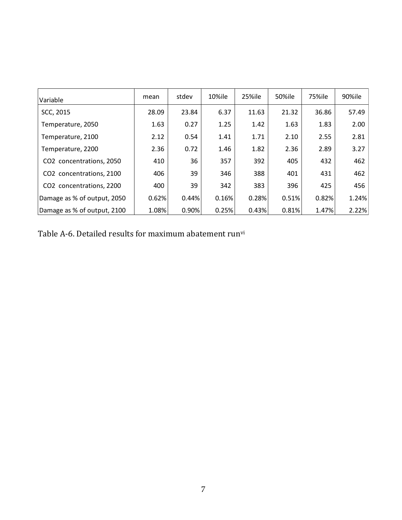| Variable                    | mean  | stdev | 10%ile | 25%ile | 50%ile | <b>75%ile</b> | 90%ile |
|-----------------------------|-------|-------|--------|--------|--------|---------------|--------|
| SCC, 2015                   | 28.09 | 23.84 | 6.37   | 11.63  | 21.32  | 36.86         | 57.49  |
| Temperature, 2050           | 1.63  | 0.27  | 1.25   | 1.42   | 1.63   | 1.83          | 2.00   |
| Temperature, 2100           | 2.12  | 0.54  | 1.41   | 1.71   | 2.10   | 2.55          | 2.81   |
| Temperature, 2200           | 2.36  | 0.72  | 1.46   | 1.82   | 2.36   | 2.89          | 3.27   |
| CO2 concentrations, 2050    | 410   | 36    | 357    | 392    | 405    | 432           | 462    |
| CO2 concentrations, 2100    | 406   | 39    | 346    | 388    | 401    | 431           | 462    |
| CO2 concentrations, 2200    | 400   | 39    | 342    | 383    | 396    | 425           | 456    |
| Damage as % of output, 2050 | 0.62% | 0.44% | 0.16%  | 0.28%  | 0.51%  | 0.82%         | 1.24%  |
| Damage as % of output, 2100 | 1.08% | 0.90% | 0.25%  | 0.43%  | 0.81%  | 1.47%         | 2.22%  |

Table A-6. Detailed results for maximum abatement runvi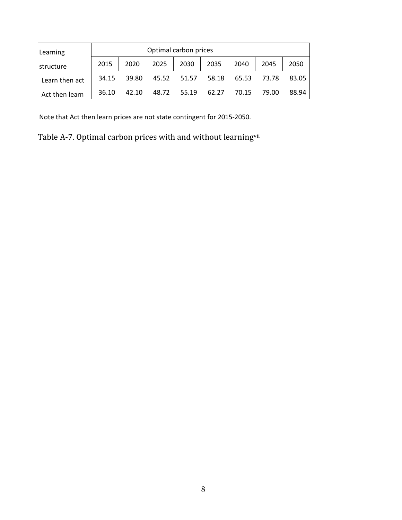| Learning          |       | Optimal carbon prices |       |       |       |       |              |       |  |  |  |  |  |
|-------------------|-------|-----------------------|-------|-------|-------|-------|--------------|-------|--|--|--|--|--|
| <b>Istructure</b> | 2015  | 2020                  | 2025  | 2030  | 2035  | 2040  | 2050<br>2045 |       |  |  |  |  |  |
| Learn then act    | 34.15 | 39.80                 | 45.52 | 51.57 | 58.18 | 65.53 | 73.78        | 83.05 |  |  |  |  |  |
| Act then learn    | 36.10 | 42.10                 | 48.72 | 55.19 | 62.27 | 70.15 | 79.00        | 88.94 |  |  |  |  |  |

Note that Act then learn prices are not state contingent for 2015-2050.

Table A-7. Optimal carbon prices with and without learningvii